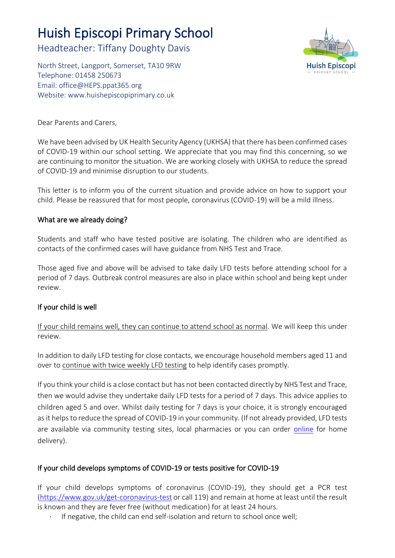# Huish Episcopi Primary School

Headteacher: Tiffany Doughty Davis

North Street, Langport, Somerset, TA10 9RW Telephone: 01458 250673 Email: [office@HEPS.ppat365.org](mailto:office@HEPS.ppat365.org) Website: [www.huishepiscopiprimary.co.uk](http://www.huishepiscopiprimary.co.uk/)



Dear Parents and Carers,

We have been advised by UK Health Security Agency (UKHSA) that there has been confirmed cases of COVID-19 within our school setting. We appreciate that you may find this concerning, so we are continuing to monitor the situation. We are working closely with UKHSA to reduce the spread of COVID-19 and minimise disruption to our students.

This letter is to inform you of the current situation and provide advice on how to support your child. Please be reassured that for most people, coronavirus (COVID-19) will be a mild illness.

## What are we already doing?

Students and staff who have tested positive are isolating. The children who are identified as contacts of the confirmed cases will have guidance from NHS Test and Trace.

Those aged five and above will be advised to take daily LFD tests before attending school for a period of 7 days. Outbreak control measures are also in place within school and being kept under review.

## If your child is well

If your child remains well, they can continue to attend school as normal. We will keep this under review.

In addition to daily LFD testing for close contacts, we encourage household members aged 11 and over to continue with twice weekly LFD testing to help identify cases promptly.

If you think your child is a close contact but has not been contacted directly by NHS Test and Trace, then we would advise they undertake daily LFD tests for a period of 7 days. This advice applies to children aged 5 and over. Whilst daily testing for 7 days is your choice, it is strongly encouraged as it helps to reduce the spread of COVID-19 in your community. (If not already provided, LFD tests are available via community testing sites, local pharmacies or you can order [online](https://www.gov.uk/order-coronavirus-rapid-lateral-flow-tests) for home delivery).

# If your child develops symptoms of COVID-19 or tests positive for COVID-19

If your child develops symptoms of coronavirus (COVID-19), they should get a PCR test [\(https://www.gov.uk/get-coronavirus-test](https://www.gov.uk/get-coronavirus-test) or call 119) and remain at home at least until the result is known and they are fever free (without medication) for at least 24 hours.

· If negative, the child can end self-isolation and return to school once well;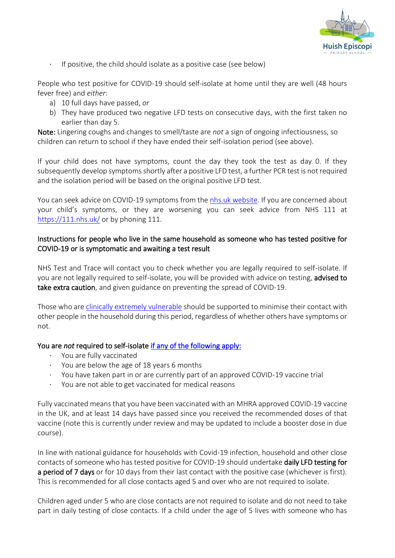

· If positive, the child should isolate as a positive case (see below)

People who test positive for COVID-19 should self-isolate at home until they are well (48 hours fever free) and *either*:

- a) 10 full days have passed, *or*
- b) They have produced two negative LFD tests on consecutive days, with the first taken no earlier than day 5.

Note: Lingering coughs and changes to smell/taste are *not* a sign of ongoing infectiousness, so children can return to school if they have ended their self-isolation period (see above).

If your child does not have symptoms, count the day they took the test as day 0. If they subsequently develop symptoms shortly after a positive LFD test, a further PCR test is not required and the isolation period will be based on the original positive LFD test.

You can seek advice on COVID-19 symptoms from the [nhs.uk website.](https://www.nhs.uk/conditions/coronavirus-covid-19/check-if-you-have-coronavirus-symptoms/) If you are concerned about your child's symptoms, or they are worsening you can seek advice from NHS 111 at <https://111.nhs.uk/> or by phoning 111.

## Instructions for people who live in the same household as someone who has tested positive for COVID-19 or is symptomatic and awaiting a test result

NHS Test and Trace will contact you to check whether you are legally required to self-isolate. If you are not legally required to self-isolate, you will be provided with advice on testing, advised to take extra caution, and given guidance on preventing the spread of COVID-19.

Those who ar[e clinically extremely vulnerable](https://www.gov.uk/government/publications/guidance-on-shielding-and-protecting-extremely-vulnerable-persons-from-covid-19/guidance-on-shielding-and-protecting-extremely-vulnerable-persons-from-covid-19) should be supported to minimise their contact with other people in the household during this period, regardless of whether others have symptoms or not.

# You are *not* required to self-isolate [if any of the following apply:](https://www.gov.uk/government/publications/covid-19-stay-at-home-guidance/stay-at-home-guidance-for-households-with-possible-coronavirus-covid-19-infection#exempt)

- You are fully vaccinated
- You are below the age of 18 years 6 months
- · You have taken part in or are currently part of an approved COVID-19 vaccine trial
- · You are not able to get vaccinated for medical reasons

Fully vaccinated means that you have been vaccinated with an MHRA approved COVID-19 vaccine in the UK, and at least 14 days have passed since you received the recommended doses of that vaccine (note this is currently under review and may be updated to include a booster dose in due course).

In line with national guidance for households with Covid-19 infection, household and other close contacts of someone who has tested positive for COVID-19 should undertake daily LFD testing for a period of 7 days or for 10 days from their last contact with the positive case (whichever is first). This is recommended for all close contacts aged 5 and over who are not required to isolate.

Children aged under 5 who are close contacts are not required to isolate and do not need to take part in daily testing of close contacts. If a child under the age of 5 lives with someone who has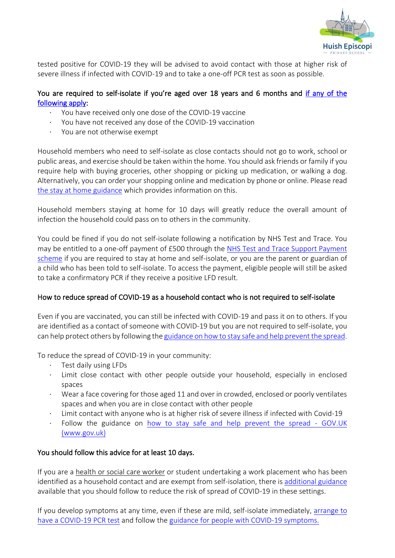

tested positive for COVID-19 they will be advised to avoid contact with those at higher risk of severe illness if infected with COVID-19 and to take a one-off PCR test as soon as possible.

## You are required to self-isolate if you're aged over 18 years and 6 months and if any of the [following apply:](https://www.nhs.uk/conditions/coronavirus-covid-19/self-isolation-and-treatment/when-to-self-isolate-and-what-to-do/)

- You have received only one dose of the COVID-19 vaccine
- · You have not received any dose of the COVID-19 vaccination
- You are not otherwise exempt

Household members who need to self-isolate as close contacts should not go to work, school or public areas, and exercise should be taken within the home. You should ask friends or family if you require help with buying groceries, other shopping or picking up medication, or walking a dog. Alternatively, you can order your shopping online and medication by phone or online. Please read [the stay at home guidance](https://www.gov.uk/government/publications/covid-19-stay-at-home-guidance/stay-at-home-guidance-for-households-with-possible-coronavirus-covid-19-infection) which provides information on this.

Household members staying at home for 10 days will greatly reduce the overall amount of infection the household could pass on to others in the community.

You could be fined if you do not self-isolate following a notification by NHS Test and Trace. You may be entitled to a one-off payment of £500 through the [NHS Test and Trace Support Payment](https://www.gov.uk/government/publications/test-and-trace-support-payment-scheme-claiming-financial-support/claiming-financial-support-under-the-test-and-trace-support-payment-scheme)  [scheme](https://www.gov.uk/government/publications/test-and-trace-support-payment-scheme-claiming-financial-support/claiming-financial-support-under-the-test-and-trace-support-payment-scheme) if you are required to stay at home and self-isolate, or you are the parent or guardian of a child who has been told to self-isolate. To access the payment, eligible people will still be asked to take a confirmatory PCR if they receive a positive LFD result.

## How to reduce spread of COVID-19 as a household contact who is not required to self-isolate

Even if you are vaccinated, you can still be infected with COVID-19 and pass it on to others. If you are identified as a contact of someone with COVID-19 but you are not required to self-isolate, you can help protect others by following th[e guidance on how to stay safe and help prevent the spread.](https://www.gov.uk/guidance/covid-19-coronavirus-restrictions-what-you-can-and-cannot-do#keeping-yourself-and-others-safe)

To reduce the spread of COVID-19 in your community:

- Test daily using LFDs
- · Limit close contact with other people outside your household, especially in enclosed spaces
- Wear a face covering for those aged 11 and over in crowded, enclosed or poorly ventilates spaces and when you are in close contact with other people
- · Limit contact with anyone who is at higher risk of severe illness if infected with Covid-19
- Follow the guidance on how to stay safe and help prevent the spread GOV.UK (www.gov.uk)

## You should follow this advice for at least 10 days.

If you are a health or social care worker or student undertaking a work placement who has been identified as a household contact and are exempt from self-isolation, there is [additional guidance](https://www.gov.uk/government/publications/covid-19-management-of-exposed-healthcare-workers-and-patients-in-hospital-settings/covid-19-management-of-exposed-healthcare-workers-and-patients-in-hospital-settings) available that you should follow to reduce the risk of spread of COVID-19 in these settings.

If you develop symptoms at any time, even if these are mild, self-isolate immediately, [arrange to](https://www.gov.uk/get-coronavirus-test)  [have a COVID-19 PCR test](https://www.gov.uk/get-coronavirus-test) and follow the [guidance for people with COVID-19 symptoms.](https://www.gov.uk/government/publications/covid-19-stay-at-home-guidance/stay-at-home-guidance-for-households-with-possible-coronavirus-covid-19-infection#SymptomsPositiveTest)